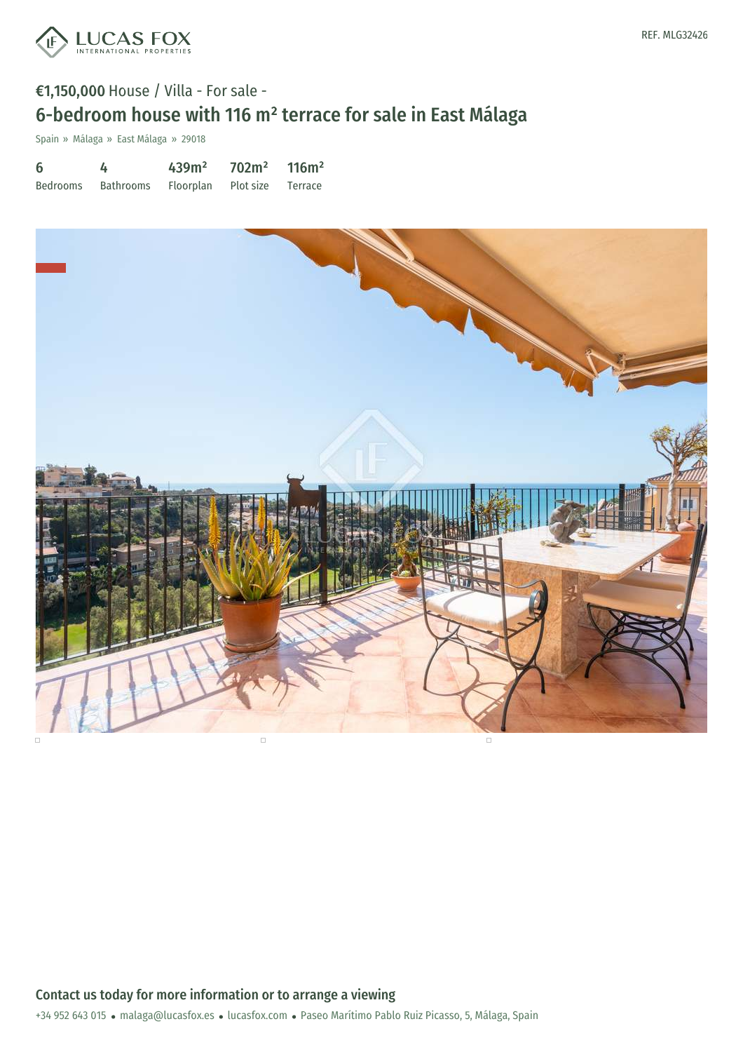

## €1,150,000 House / Villa - For sale - 6-bedroom house with 116 m² terrace for sale in East Málaga

Spain » Málaga » East Málaga » 29018

6 Bedrooms 4 Bathrooms 439m² Floorplan 702m² Plot size 116m² Terrace

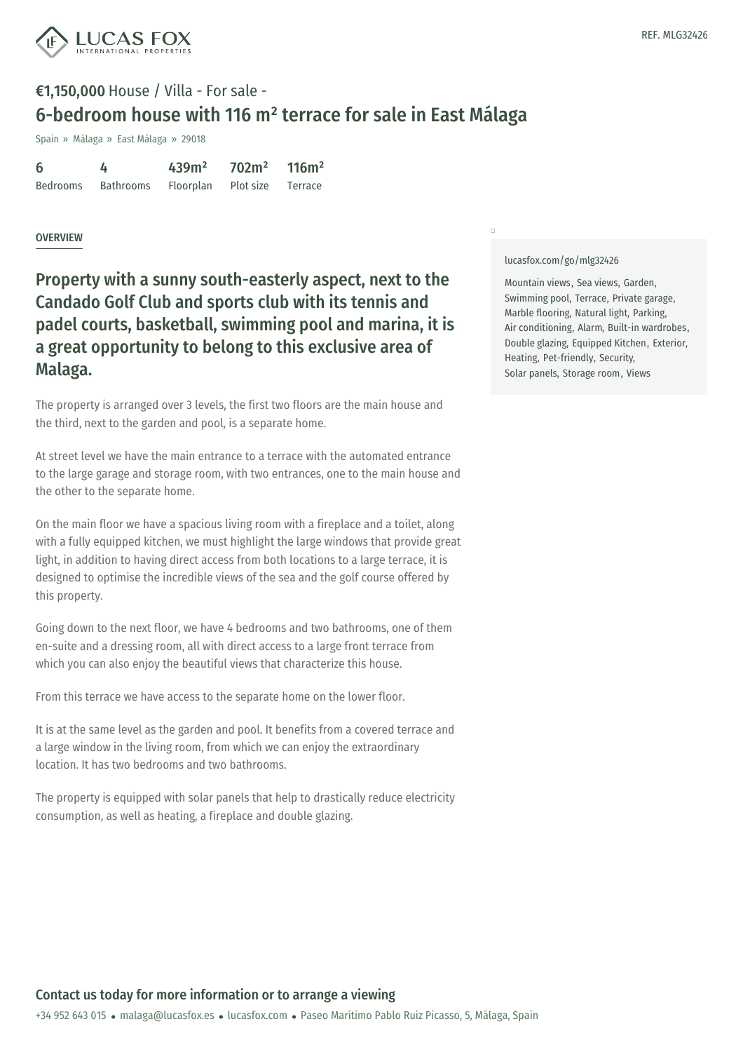

### €1,150,000 House / Villa - For sale - 6-bedroom house with 116 m² terrace for sale in East Málaga

Spain » Málaga » East Málaga » 29018

| -6       | 4         | 439m <sup>2</sup> | 702m <sup>2</sup> | 116m <sup>2</sup> |
|----------|-----------|-------------------|-------------------|-------------------|
| Bedrooms | Bathrooms | Floorplan         | Plot size Terrace |                   |

#### **OVERVIEW**

Property with a sunny south-easterly aspect, next to the Candado Golf Club and sports club with its tennis and padel courts, basketball, swimming pool and marina, it is a great opportunity to belong to this exclusive area of Malaga.

The property is arranged over 3 levels, the first two floors are the main house and the third, next to the garden and pool, is a separate home.

At street level we have the main entrance to a terrace with the automated entrance to the large garage and storage room, with two entrances, one to the main house and the other to the separate home.

On the main floor we have a spacious living room with a fireplace and a toilet, along with a fully equipped kitchen, we must highlight the large windows that provide great light, in addition to having direct access from both locations to a large terrace, it is designed to optimise the incredible views of the sea and the golf course offered by this property.

Going down to the next floor, we have 4 bedrooms and two bathrooms, one of them en-suite and a dressing room, all with direct access to a large front terrace from which you can also enjoy the beautiful views that characterize this house.

From this terrace we have access to the separate home on the lower floor.

It is at the same level as the garden and pool. It benefits from a covered terrace and a large window in the living room, from which we can enjoy the extraordinary location. It has two bedrooms and two bathrooms.

The property is e[quipped](mailto:malaga@lucasfox.es) with solar p[anels](https://www.lucasfox.com) that help to drastically reduce electricity consumption, as well as heating, a fireplace and double glazing.

[lucasfox.com/go/mlg32426](https://www.lucasfox.com/go/mlg32426)

 $\Box$ 

Mountain views, Sea views, Garden, Swimming pool, Terrace, Private garage, Marble flooring, Natural light, Parking, Air conditioning, Alarm, Built-in wardrobes, Double glazing, Equipped Kitchen, Exterior, Heating, Pet-friendly, Security, Solar panels, Storage room, Views